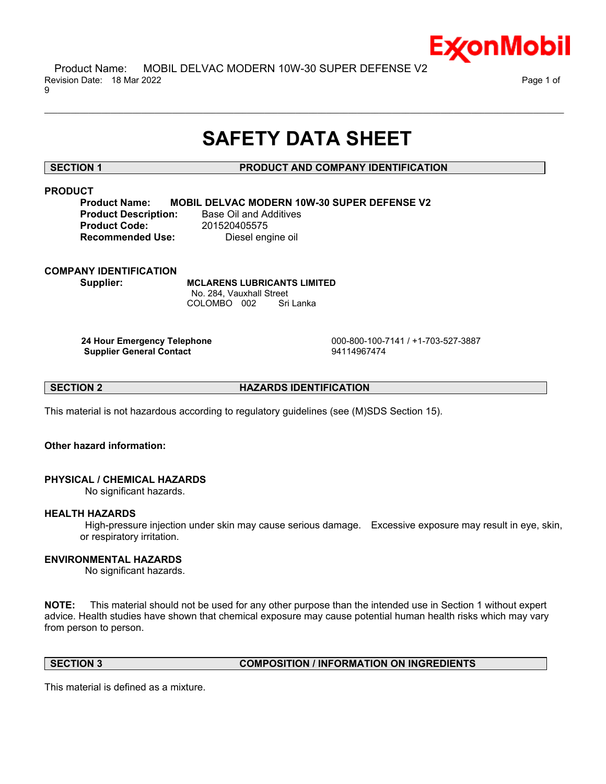

 Product Name: MOBIL DELVAC MODERN 10W-30 SUPER DEFENSE V2 Revision Date: 18 Mar 2022 Page 1 of 9

# **SAFETY DATA SHEET**

\_\_\_\_\_\_\_\_\_\_\_\_\_\_\_\_\_\_\_\_\_\_\_\_\_\_\_\_\_\_\_\_\_\_\_\_\_\_\_\_\_\_\_\_\_\_\_\_\_\_\_\_\_\_\_\_\_\_\_\_\_\_\_\_\_\_\_\_\_\_\_\_\_\_\_\_\_\_\_\_\_\_\_\_\_\_\_\_\_\_\_\_\_\_\_\_\_\_\_\_\_\_\_\_\_\_\_\_\_\_\_\_\_\_\_\_\_\_

# **SECTION 1 PRODUCT AND COMPANY IDENTIFICATION**

# **PRODUCT**

**Product Name: MOBIL DELVAC MODERN 10W-30 SUPER DEFENSE V2 Product Description:** Base Oil and Additives **Product Code:** 201520405575 **Recommended Use:** Diesel engine oil

# **COMPANY IDENTIFICATION**

**Supplier: MCLARENS LUBRICANTS LIMITED** No. 284, Vauxhall Street COLOMBO 002 Sri Lanka

**Supplier General Contact** 94114967474

**24 Hour Emergency Telephone** 000-800-100-7141 / +1-703-527-3887

**SECTION 2 HAZARDS IDENTIFICATION**

This material is not hazardous according to regulatory guidelines (see (M)SDS Section 15).

# **Other hazard information:**

# **PHYSICAL / CHEMICAL HAZARDS**

No significant hazards.

# **HEALTH HAZARDS**

High-pressure injection under skin may cause serious damage. Excessive exposure may result in eye, skin, or respiratory irritation.

# **ENVIRONMENTAL HAZARDS**

No significant hazards.

**NOTE:** This material should not be used for any other purpose than the intended use in Section 1 without expert advice. Health studies have shown that chemical exposure may cause potential human health risks which may vary from person to person.

#### **SECTION 3 COMPOSITION / INFORMATION ON INGREDIENTS**

This material is defined as a mixture.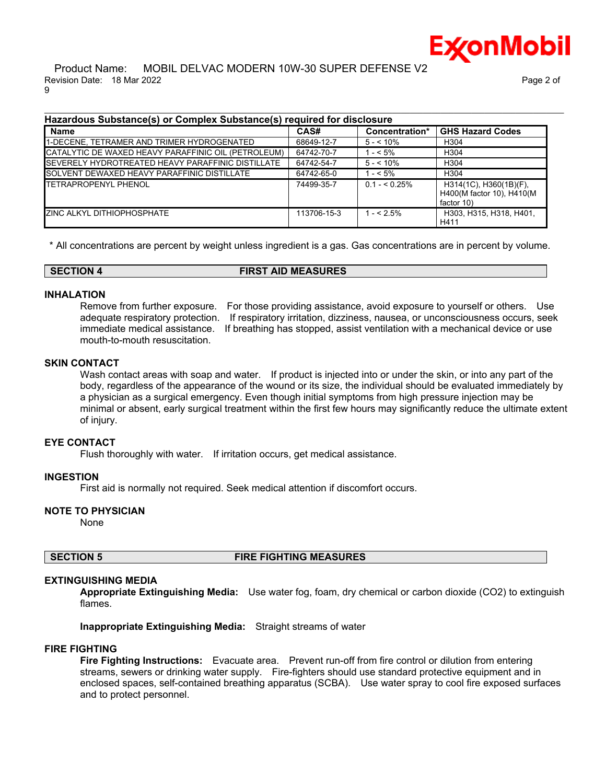

#### Product Name: MOBIL DELVAC MODERN 10W-30 SUPER DEFENSE V2 Revision Date: 18 Mar 2022 Page 2 of 9

| <b>Name</b>                                               | CAS#        | Concentration* | <b>GHS Hazard Codes</b>                                           |
|-----------------------------------------------------------|-------------|----------------|-------------------------------------------------------------------|
| 1-DECENE, TETRAMER AND TRIMER HYDROGENATED                | 68649-12-7  | $5 - 10\%$     | H <sub>304</sub>                                                  |
| CATALYTIC DE WAXED HEAVY PARAFFINIC OIL (PETROLEUM)       | 64742-70-7  | $1 - 5\%$      | H <sub>304</sub>                                                  |
| <b>ISEVERELY HYDROTREATED HEAVY PARAFFINIC DISTILLATE</b> | 64742-54-7  | $5 - 10\%$     | H <sub>304</sub>                                                  |
| SOLVENT DEWAXED HEAVY PARAFFINIC DISTILLATE               | 64742-65-0  | $1 - 5\%$      | H <sub>304</sub>                                                  |
| <b>ITETRAPROPENYL PHENOL</b>                              | 74499-35-7  | $0.1 - 5.25\%$ | H314(1C), H360(1B)(F),<br>H400(M factor 10), H410(M<br>factor 10) |
| <b>IZINC ALKYL DITHIOPHOSPHATE</b>                        | 113706-15-3 | $1 - 5\%$      | H303, H315, H318, H401,<br>H411                                   |

\* All concentrations are percent by weight unless ingredient is a gas. Gas concentrations are in percent by volume.

**SECTION 4 FIRST AID MEASURES**

#### **INHALATION**

Remove from further exposure. For those providing assistance, avoid exposure to yourself or others. Use adequate respiratory protection. If respiratory irritation, dizziness, nausea, or unconsciousness occurs, seek immediate medical assistance. If breathing has stopped, assist ventilation with a mechanical device or use mouth-to-mouth resuscitation.

#### **SKIN CONTACT**

Wash contact areas with soap and water. If product is injected into or under the skin, or into any part of the body, regardless of the appearance of the wound or its size, the individual should be evaluated immediately by a physician as a surgical emergency. Even though initial symptoms from high pressure injection may be minimal or absent, early surgical treatment within the first few hours may significantly reduce the ultimate extent of injury.

#### **EYE CONTACT**

Flush thoroughly with water. If irritation occurs, get medical assistance.

# **INGESTION**

First aid is normally not required. Seek medical attention if discomfort occurs.

# **NOTE TO PHYSICIAN**

None

**SECTION 5 FIRE FIGHTING MEASURES**

# **EXTINGUISHING MEDIA**

**Appropriate Extinguishing Media:** Use water fog, foam, dry chemical or carbon dioxide (CO2) to extinguish flames.

**Inappropriate Extinguishing Media:** Straight streams of water

# **FIRE FIGHTING**

**Fire Fighting Instructions:** Evacuate area. Prevent run-off from fire control or dilution from entering streams, sewers or drinking water supply. Fire-fighters should use standard protective equipment and in enclosed spaces, self-contained breathing apparatus (SCBA). Use water spray to cool fire exposed surfaces and to protect personnel.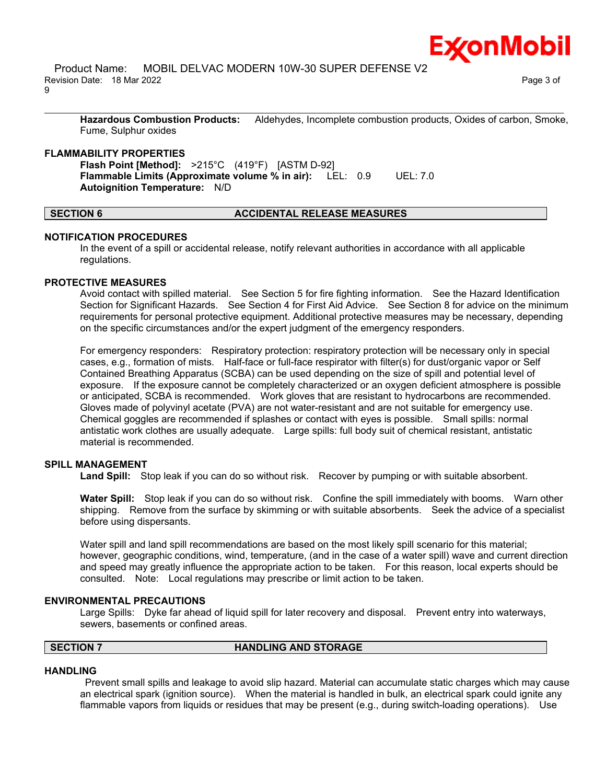

 Product Name: MOBIL DELVAC MODERN 10W-30 SUPER DEFENSE V2 Revision Date: 18 Mar 2022 Page 3 of 9

**Hazardous Combustion Products:** Aldehydes, Incomplete combustion products, Oxides of carbon, Smoke, Fume, Sulphur oxides

\_\_\_\_\_\_\_\_\_\_\_\_\_\_\_\_\_\_\_\_\_\_\_\_\_\_\_\_\_\_\_\_\_\_\_\_\_\_\_\_\_\_\_\_\_\_\_\_\_\_\_\_\_\_\_\_\_\_\_\_\_\_\_\_\_\_\_\_\_\_\_\_\_\_\_\_\_\_\_\_\_\_\_\_\_\_\_\_\_\_\_\_\_\_\_\_\_\_\_\_\_\_\_\_\_\_\_\_\_\_\_\_\_\_\_\_\_\_

#### **FLAMMABILITY PROPERTIES**

**Flash Point [Method]:** >215°C (419°F) [ASTM D-92] **Flammable Limits (Approximate volume % in air):** LEL: 0.9 UEL: 7.0 **Autoignition Temperature:** N/D

#### **SECTION 6 ACCIDENTAL RELEASE MEASURES**

#### **NOTIFICATION PROCEDURES**

In the event of a spill or accidental release, notify relevant authorities in accordance with all applicable regulations.

#### **PROTECTIVE MEASURES**

Avoid contact with spilled material. See Section 5 for fire fighting information. See the Hazard Identification Section for Significant Hazards. See Section 4 for First Aid Advice. See Section 8 for advice on the minimum requirements for personal protective equipment. Additional protective measures may be necessary, depending on the specific circumstances and/or the expert judgment of the emergency responders.

For emergency responders: Respiratory protection: respiratory protection will be necessary only in special cases, e.g., formation of mists. Half-face or full-face respirator with filter(s) for dust/organic vapor or Self Contained Breathing Apparatus (SCBA) can be used depending on the size of spill and potential level of exposure. If the exposure cannot be completely characterized or an oxygen deficient atmosphere is possible or anticipated, SCBA is recommended. Work gloves that are resistant to hydrocarbons are recommended. Gloves made of polyvinyl acetate (PVA) are not water-resistant and are not suitable for emergency use. Chemical goggles are recommended if splashes or contact with eyes is possible. Small spills: normal antistatic work clothes are usually adequate. Large spills: full body suit of chemical resistant, antistatic material is recommended.

#### **SPILL MANAGEMENT**

**Land Spill:** Stop leak if you can do so without risk. Recover by pumping or with suitable absorbent.

**Water Spill:** Stop leak if you can do so without risk. Confine the spill immediately with booms. Warn other shipping. Remove from the surface by skimming or with suitable absorbents. Seek the advice of a specialist before using dispersants.

Water spill and land spill recommendations are based on the most likely spill scenario for this material; however, geographic conditions, wind, temperature, (and in the case of a water spill) wave and current direction and speed may greatly influence the appropriate action to be taken. For this reason, local experts should be consulted. Note: Local regulations may prescribe or limit action to be taken.

#### **ENVIRONMENTAL PRECAUTIONS**

Large Spills: Dyke far ahead of liquid spill for later recovery and disposal. Prevent entry into waterways, sewers, basements or confined areas.

# **SECTION 7 HANDLING AND STORAGE**

#### **HANDLING**

Prevent small spills and leakage to avoid slip hazard. Material can accumulate static charges which may cause an electrical spark (ignition source). When the material is handled in bulk, an electrical spark could ignite any flammable vapors from liquids or residues that may be present (e.g., during switch-loading operations). Use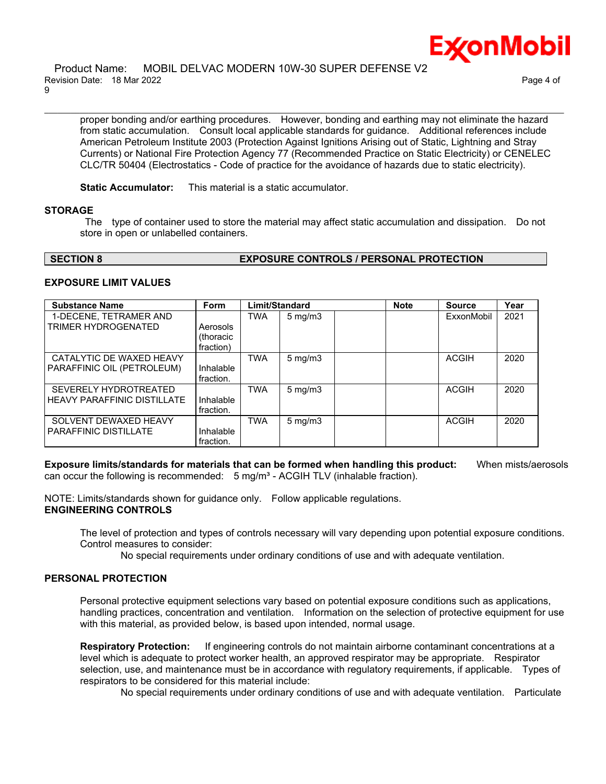#### Product Name: MOBIL DELVAC MODERN 10W-30 SUPER DEFENSE V2 Revision Date: 18 Mar 2022 Page 4 of 9

proper bonding and/or earthing procedures. However, bonding and earthing may not eliminate the hazard from static accumulation. Consult local applicable standards for guidance. Additional references include American Petroleum Institute 2003 (Protection Against Ignitions Arising out of Static, Lightning and Stray Currents) or National Fire Protection Agency 77 (Recommended Practice on Static Electricity) or CENELEC CLC/TR 50404 (Electrostatics - Code of practice for the avoidance of hazards due to static electricity).

\_\_\_\_\_\_\_\_\_\_\_\_\_\_\_\_\_\_\_\_\_\_\_\_\_\_\_\_\_\_\_\_\_\_\_\_\_\_\_\_\_\_\_\_\_\_\_\_\_\_\_\_\_\_\_\_\_\_\_\_\_\_\_\_\_\_\_\_\_\_\_\_\_\_\_\_\_\_\_\_\_\_\_\_\_\_\_\_\_\_\_\_\_\_\_\_\_\_\_\_\_\_\_\_\_\_\_\_\_\_\_\_\_\_\_\_\_\_

**Static Accumulator:** This material is a static accumulator.

# **STORAGE**

The type of container used to store the material may affect static accumulation and dissipation. Do not store in open or unlabelled containers.

# **SECTION 8 EXPOSURE CONTROLS / PERSONAL PROTECTION**

# **EXPOSURE LIMIT VALUES**

| <b>Substance Name</b>              | Form                   | Limit/Standard |                     | <b>Note</b> | <b>Source</b> | Year |
|------------------------------------|------------------------|----------------|---------------------|-------------|---------------|------|
| 1-DECENE, TETRAMER AND             |                        | <b>TWA</b>     | $5 \,\mathrm{mg/m}$ |             | ExxonMobil    | 2021 |
| TRIMER HYDROGENATED                | Aerosols<br>(thoracic  |                |                     |             |               |      |
|                                    | fraction)              |                |                     |             |               |      |
| CATALYTIC DE WAXED HEAVY           |                        | <b>TWA</b>     | $5 \text{ mg/m}$    |             | <b>ACGIH</b>  | 2020 |
| PARAFFINIC OIL (PETROLEUM)         | Inhalable<br>fraction. |                |                     |             |               |      |
|                                    |                        |                |                     |             |               |      |
| <b>SEVERELY HYDROTREATED</b>       |                        | <b>TWA</b>     | $5 \text{ mg/m}$    |             | <b>ACGIH</b>  | 2020 |
| <b>HEAVY PARAFFINIC DISTILLATE</b> | Inhalable              |                |                     |             |               |      |
|                                    | fraction.              |                |                     |             |               |      |
| SOLVENT DEWAXED HEAVY              |                        | <b>TWA</b>     | $5 \,\mathrm{mg/m}$ |             | <b>ACGIH</b>  | 2020 |
| <b>PARAFFINIC DISTILLATE</b>       | Inhalable              |                |                     |             |               |      |
|                                    | fraction.              |                |                     |             |               |      |

**Exposure limits/standards for materials that can be formed when handling this product:** When mists/aerosols can occur the following is recommended:  $5 \text{ mg/m}^3$  - ACGIH TLV (inhalable fraction).

NOTE: Limits/standards shown for guidance only. Follow applicable regulations. **ENGINEERING CONTROLS**

The level of protection and types of controls necessary will vary depending upon potential exposure conditions. Control measures to consider:

No special requirements under ordinary conditions of use and with adequate ventilation.

# **PERSONAL PROTECTION**

Personal protective equipment selections vary based on potential exposure conditions such as applications, handling practices, concentration and ventilation. Information on the selection of protective equipment for use with this material, as provided below, is based upon intended, normal usage.

**Respiratory Protection:** If engineering controls do not maintain airborne contaminant concentrations at a level which is adequate to protect worker health, an approved respirator may be appropriate. Respirator selection, use, and maintenance must be in accordance with regulatory requirements, if applicable. Types of respirators to be considered for this material include:

No special requirements under ordinary conditions of use and with adequate ventilation. Particulate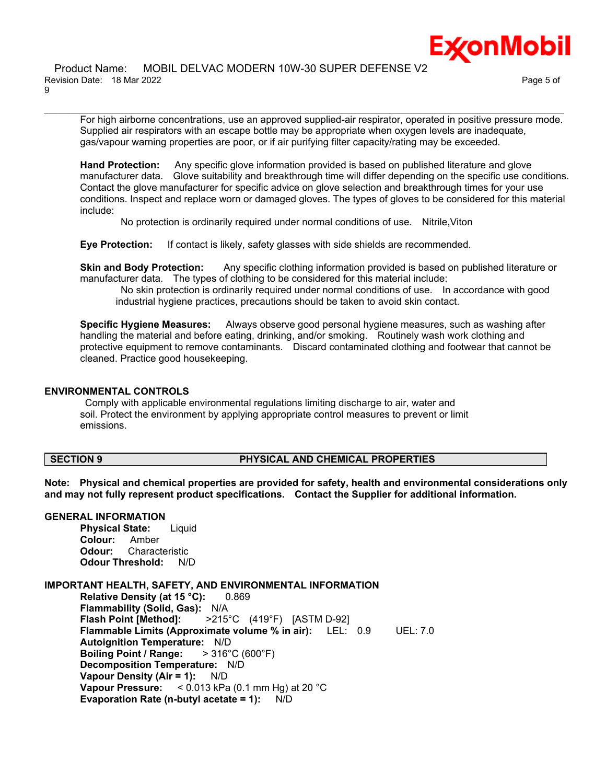For high airborne concentrations, use an approved supplied-air respirator, operated in positive pressure mode. Supplied air respirators with an escape bottle may be appropriate when oxygen levels are inadequate, gas/vapour warning properties are poor, or if air purifying filter capacity/rating may be exceeded.

\_\_\_\_\_\_\_\_\_\_\_\_\_\_\_\_\_\_\_\_\_\_\_\_\_\_\_\_\_\_\_\_\_\_\_\_\_\_\_\_\_\_\_\_\_\_\_\_\_\_\_\_\_\_\_\_\_\_\_\_\_\_\_\_\_\_\_\_\_\_\_\_\_\_\_\_\_\_\_\_\_\_\_\_\_\_\_\_\_\_\_\_\_\_\_\_\_\_\_\_\_\_\_\_\_\_\_\_\_\_\_\_\_\_\_\_\_\_

**Hand Protection:** Any specific glove information provided is based on published literature and glove manufacturer data. Glove suitability and breakthrough time will differ depending on the specific use conditions. Contact the glove manufacturer for specific advice on glove selection and breakthrough times for your use conditions. Inspect and replace worn or damaged gloves. The types of gloves to be considered for this material include:

No protection is ordinarily required under normal conditions of use. Nitrile,Viton

**Eye Protection:** If contact is likely, safety glasses with side shields are recommended.

**Skin and Body Protection:** Any specific clothing information provided is based on published literature or manufacturer data. The types of clothing to be considered for this material include:

No skin protection is ordinarily required under normal conditions of use. In accordance with good industrial hygiene practices, precautions should be taken to avoid skin contact.

**Specific Hygiene Measures:** Always observe good personal hygiene measures, such as washing after handling the material and before eating, drinking, and/or smoking. Routinely wash work clothing and protective equipment to remove contaminants. Discard contaminated clothing and footwear that cannot be cleaned. Practice good housekeeping.

# **ENVIRONMENTAL CONTROLS**

Comply with applicable environmental regulations limiting discharge to air, water and soil. Protect the environment by applying appropriate control measures to prevent or limit emissions.

# **SECTION 9 PHYSICAL AND CHEMICAL PROPERTIES**

**Note: Physical and chemical properties are provided for safety, health and environmental considerations only and may not fully represent product specifications. Contact the Supplier for additional information.**

# **GENERAL INFORMATION**

**Physical State:** Liquid **Colour:** Amber **Odour:** Characteristic **Odour Threshold:** N/D

# **IMPORTANT HEALTH, SAFETY, AND ENVIRONMENTAL INFORMATION**

**Relative Density (at 15 °C):** 0.869 **Flammability (Solid, Gas):** N/A **Flash Point [Method]:** >215°C (419°F) [ASTM D-92] **Flammable Limits (Approximate volume % in air):** LEL: 0.9 UEL: 7.0 **Autoignition Temperature:** N/D **Boiling Point / Range:** > 316°C (600°F) **Decomposition Temperature:** N/D **Vapour Density (Air = 1):** N/D **Vapour Pressure:** < 0.013 kPa (0.1 mm Hg) at 20 °C **Evaporation Rate (n-butyl acetate = 1):** N/D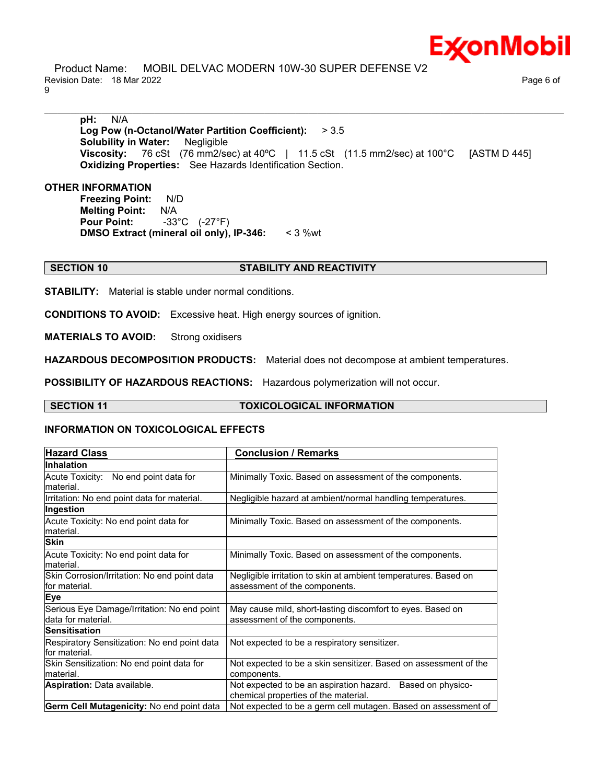

 Product Name: MOBIL DELVAC MODERN 10W-30 SUPER DEFENSE V2 Revision Date: 18 Mar 2022 Page 6 of 9

**pH:** N/A **Log Pow (n-Octanol/Water Partition Coefficient):** > 3.5 **Solubility in Water:** Negligible **Viscosity:** 76 cSt (76 mm2/sec) at 40ºC | 11.5 cSt (11.5 mm2/sec) at 100°C [ASTM D 445] **Oxidizing Properties:** See Hazards Identification Section.

\_\_\_\_\_\_\_\_\_\_\_\_\_\_\_\_\_\_\_\_\_\_\_\_\_\_\_\_\_\_\_\_\_\_\_\_\_\_\_\_\_\_\_\_\_\_\_\_\_\_\_\_\_\_\_\_\_\_\_\_\_\_\_\_\_\_\_\_\_\_\_\_\_\_\_\_\_\_\_\_\_\_\_\_\_\_\_\_\_\_\_\_\_\_\_\_\_\_\_\_\_\_\_\_\_\_\_\_\_\_\_\_\_\_\_\_\_\_

#### **OTHER INFORMATION**

**Freezing Point:** N/D **Melting Point:** N/A **Pour Point:** -33°C (-27°F) **DMSO Extract (mineral oil only), IP-346:** < 3 %wt

#### **SECTION 10 STABILITY AND REACTIVITY**

**STABILITY:** Material is stable under normal conditions.

**CONDITIONS TO AVOID:** Excessive heat. High energy sources of ignition.

**MATERIALS TO AVOID:** Strong oxidisers

**HAZARDOUS DECOMPOSITION PRODUCTS:** Material does not decompose at ambient temperatures.

**POSSIBILITY OF HAZARDOUS REACTIONS:** Hazardous polymerization will not occur.

**SECTION 11 TOXICOLOGICAL INFORMATION**

#### **INFORMATION ON TOXICOLOGICAL EFFECTS**

| <b>Hazard Class</b>                                               | <b>Conclusion / Remarks</b>                                                                        |  |
|-------------------------------------------------------------------|----------------------------------------------------------------------------------------------------|--|
| <b>Inhalation</b>                                                 |                                                                                                    |  |
| Acute Toxicity: No end point data for<br>material.                | Minimally Toxic. Based on assessment of the components.                                            |  |
| Irritation: No end point data for material.                       | Negligible hazard at ambient/normal handling temperatures.                                         |  |
| Ingestion                                                         |                                                                                                    |  |
| Acute Toxicity: No end point data for<br>material.                | Minimally Toxic. Based on assessment of the components.                                            |  |
| <b>Skin</b>                                                       |                                                                                                    |  |
| Acute Toxicity: No end point data for<br>material.                | Minimally Toxic. Based on assessment of the components.                                            |  |
| Skin Corrosion/Irritation: No end point data<br>lfor material.    | Negligible irritation to skin at ambient temperatures. Based on<br>assessment of the components.   |  |
| <b>Eye</b>                                                        |                                                                                                    |  |
| Serious Eye Damage/Irritation: No end point<br>data for material. | May cause mild, short-lasting discomfort to eyes. Based on<br>assessment of the components.        |  |
| <b>Sensitisation</b>                                              |                                                                                                    |  |
| Respiratory Sensitization: No end point data<br>for material.     | Not expected to be a respiratory sensitizer.                                                       |  |
| Skin Sensitization: No end point data for<br>lmaterial.           | Not expected to be a skin sensitizer. Based on assessment of the<br>components.                    |  |
| <b>Aspiration: Data available.</b>                                | Not expected to be an aspiration hazard. Based on physico-<br>chemical properties of the material. |  |
| Germ Cell Mutagenicity: No end point data                         | Not expected to be a germ cell mutagen. Based on assessment of                                     |  |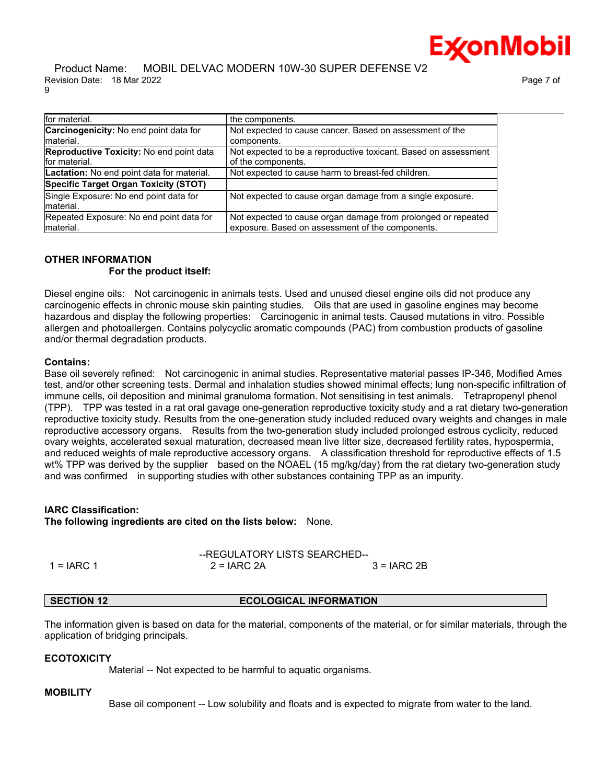**ExconMobil** 

| for material.                              | the components.                                                 |
|--------------------------------------------|-----------------------------------------------------------------|
| Carcinogenicity: No end point data for     | Not expected to cause cancer. Based on assessment of the        |
| material.                                  | components.                                                     |
| Reproductive Toxicity: No end point data   | Not expected to be a reproductive toxicant. Based on assessment |
| for material.                              | of the components.                                              |
| Lactation: No end point data for material. | Not expected to cause harm to breast-fed children.              |
| Specific Target Organ Toxicity (STOT)      |                                                                 |
| Single Exposure: No end point data for     | Not expected to cause organ damage from a single exposure.      |
| material.                                  |                                                                 |
| Repeated Exposure: No end point data for   | Not expected to cause organ damage from prolonged or repeated   |
| material.                                  | exposure. Based on assessment of the components.                |

#### **OTHER INFORMATION For the product itself:**

Diesel engine oils: Not carcinogenic in animals tests. Used and unused diesel engine oils did not produce any carcinogenic effects in chronic mouse skin painting studies. Oils that are used in gasoline engines may become hazardous and display the following properties: Carcinogenic in animal tests. Caused mutations in vitro. Possible allergen and photoallergen. Contains polycyclic aromatic compounds (PAC) from combustion products of gasoline and/or thermal degradation products.

# **Contains:**

Base oil severely refined: Not carcinogenic in animal studies. Representative material passes IP-346, Modified Ames test, and/or other screening tests. Dermal and inhalation studies showed minimal effects; lung non-specific infiltration of immune cells, oil deposition and minimal granuloma formation. Not sensitising in test animals. Tetrapropenyl phenol (TPP). TPP was tested in a rat oral gavage one-generation reproductive toxicity study and a rat dietary two-generation reproductive toxicity study. Results from the one-generation study included reduced ovary weights and changes in male reproductive accessory organs. Results from the two-generation study included prolonged estrous cyclicity, reduced ovary weights, accelerated sexual maturation, decreased mean live litter size, decreased fertility rates, hypospermia, and reduced weights of male reproductive accessory organs. A classification threshold for reproductive effects of 1.5 wt% TPP was derived by the supplier based on the NOAEL (15 mg/kg/day) from the rat dietary two-generation study and was confirmed in supporting studies with other substances containing TPP as an impurity.

# **IARC Classification:**

**The following ingredients are cited on the lists below:** None.

|            | --REGULATORY LISTS SEARCHED-- |              |  |  |  |
|------------|-------------------------------|--------------|--|--|--|
| 1 = IARC 1 | $2 = IARC 2A$                 | $3 = IARC2B$ |  |  |  |

# **SECTION 12 ECOLOGICAL INFORMATION**

The information given is based on data for the material, components of the material, or for similar materials, through the application of bridging principals.

# **ECOTOXICITY**

Material -- Not expected to be harmful to aquatic organisms.

# **MOBILITY**

Base oil component -- Low solubility and floats and is expected to migrate from water to the land.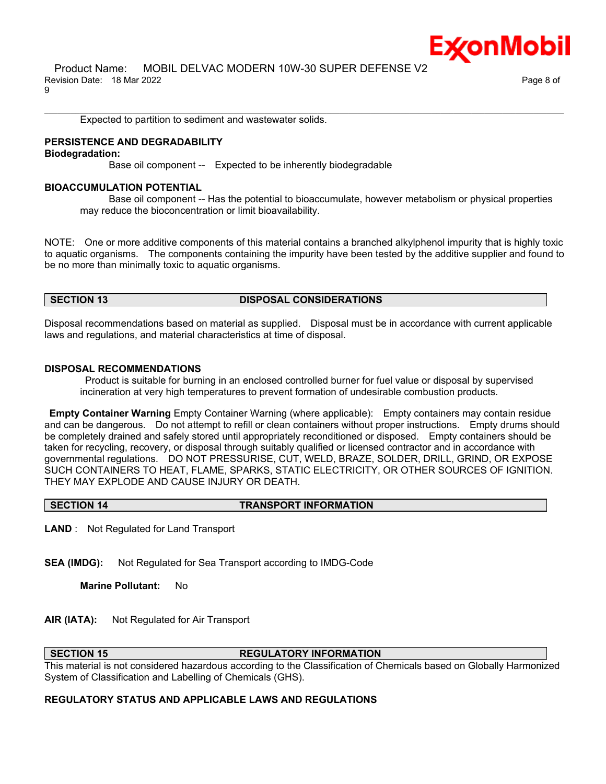

Expected to partition to sediment and wastewater solids.

#### **PERSISTENCE AND DEGRADABILITY**

**Biodegradation:**

Base oil component -- Expected to be inherently biodegradable

#### **BIOACCUMULATION POTENTIAL**

 Base oil component -- Has the potential to bioaccumulate, however metabolism or physical properties may reduce the bioconcentration or limit bioavailability.

NOTE: One or more additive components of this material contains a branched alkylphenol impurity that is highly toxic to aquatic organisms. The components containing the impurity have been tested by the additive supplier and found to be no more than minimally toxic to aquatic organisms.

\_\_\_\_\_\_\_\_\_\_\_\_\_\_\_\_\_\_\_\_\_\_\_\_\_\_\_\_\_\_\_\_\_\_\_\_\_\_\_\_\_\_\_\_\_\_\_\_\_\_\_\_\_\_\_\_\_\_\_\_\_\_\_\_\_\_\_\_\_\_\_\_\_\_\_\_\_\_\_\_\_\_\_\_\_\_\_\_\_\_\_\_\_\_\_\_\_\_\_\_\_\_\_\_\_\_\_\_\_\_\_\_\_\_\_\_\_\_

#### **SECTION 13 DISPOSAL CONSIDERATIONS**

Disposal recommendations based on material as supplied. Disposal must be in accordance with current applicable laws and regulations, and material characteristics at time of disposal.

#### **DISPOSAL RECOMMENDATIONS**

Product is suitable for burning in an enclosed controlled burner for fuel value or disposal by supervised incineration at very high temperatures to prevent formation of undesirable combustion products.

**Empty Container Warning** Empty Container Warning (where applicable): Empty containers may contain residue and can be dangerous. Do not attempt to refill or clean containers without proper instructions. Empty drums should be completely drained and safely stored until appropriately reconditioned or disposed. Empty containers should be taken for recycling, recovery, or disposal through suitably qualified or licensed contractor and in accordance with governmental regulations. DO NOT PRESSURISE, CUT, WELD, BRAZE, SOLDER, DRILL, GRIND, OR EXPOSE SUCH CONTAINERS TO HEAT, FLAME, SPARKS, STATIC ELECTRICITY, OR OTHER SOURCES OF IGNITION. THEY MAY EXPLODE AND CAUSE INJURY OR DEATH.

# **SECTION 14 TRANSPORT INFORMATION**

**LAND** : Not Regulated for Land Transport

**SEA (IMDG):** Not Regulated for Sea Transport according to IMDG-Code

**Marine Pollutant:** No

**AIR (IATA):** Not Regulated for Air Transport

# **SECTION 15 REGULATORY INFORMATION**

This material is not considered hazardous according to the Classification of Chemicals based on Globally Harmonized System of Classification and Labelling of Chemicals (GHS).

# **REGULATORY STATUS AND APPLICABLE LAWS AND REGULATIONS**